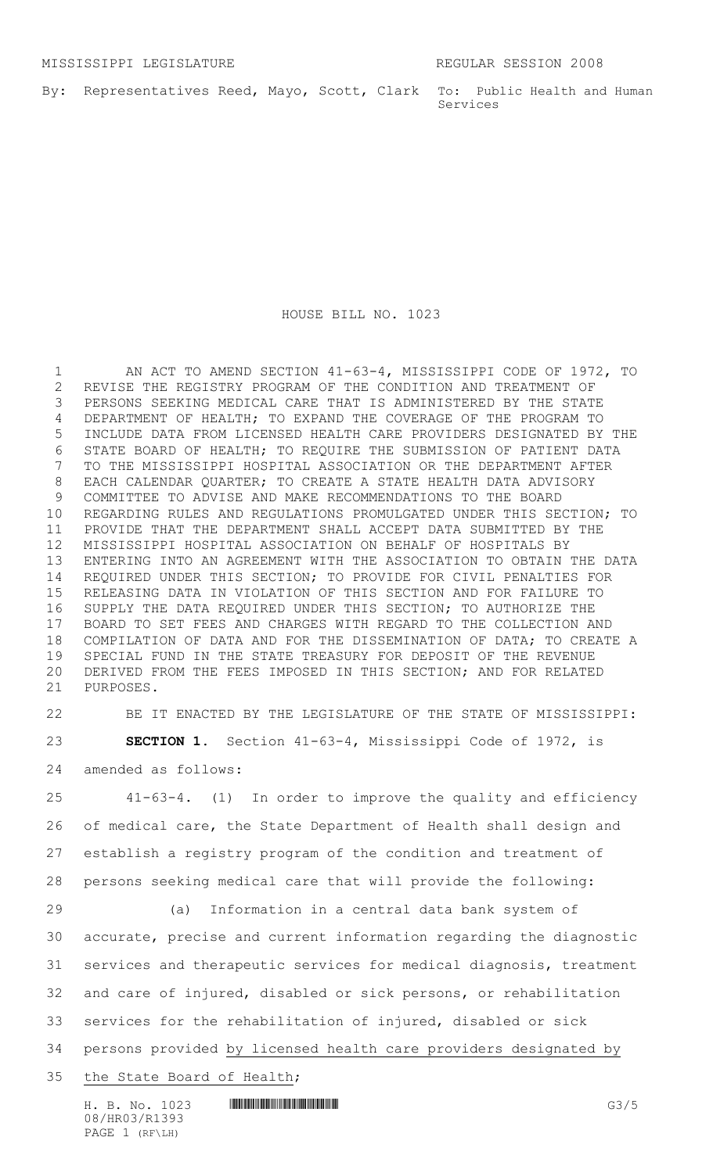By: Representatives Reed, Mayo, Scott, Clark To: Public Health and Human Services

## HOUSE BILL NO. 1023

 AN ACT TO AMEND SECTION 41-63-4, MISSISSIPPI CODE OF 1972, TO REVISE THE REGISTRY PROGRAM OF THE CONDITION AND TREATMENT OF PERSONS SEEKING MEDICAL CARE THAT IS ADMINISTERED BY THE STATE DEPARTMENT OF HEALTH; TO EXPAND THE COVERAGE OF THE PROGRAM TO INCLUDE DATA FROM LICENSED HEALTH CARE PROVIDERS DESIGNATED BY THE STATE BOARD OF HEALTH; TO REQUIRE THE SUBMISSION OF PATIENT DATA TO THE MISSISSIPPI HOSPITAL ASSOCIATION OR THE DEPARTMENT AFTER EACH CALENDAR QUARTER; TO CREATE A STATE HEALTH DATA ADVISORY COMMITTEE TO ADVISE AND MAKE RECOMMENDATIONS TO THE BOARD REGARDING RULES AND REGULATIONS PROMULGATED UNDER THIS SECTION; TO PROVIDE THAT THE DEPARTMENT SHALL ACCEPT DATA SUBMITTED BY THE MISSISSIPPI HOSPITAL ASSOCIATION ON BEHALF OF HOSPITALS BY ENTERING INTO AN AGREEMENT WITH THE ASSOCIATION TO OBTAIN THE DATA REQUIRED UNDER THIS SECTION; TO PROVIDE FOR CIVIL PENALTIES FOR RELEASING DATA IN VIOLATION OF THIS SECTION AND FOR FAILURE TO SUPPLY THE DATA REQUIRED UNDER THIS SECTION; TO AUTHORIZE THE BOARD TO SET FEES AND CHARGES WITH REGARD TO THE COLLECTION AND COMPILATION OF DATA AND FOR THE DISSEMINATION OF DATA; TO CREATE A SPECIAL FUND IN THE STATE TREASURY FOR DEPOSIT OF THE REVENUE DERIVED FROM THE FEES IMPOSED IN THIS SECTION; AND FOR RELATED PURPOSES.

 BE IT ENACTED BY THE LEGISLATURE OF THE STATE OF MISSISSIPPI: **SECTION 1.** Section 41-63-4, Mississippi Code of 1972, is amended as follows:

 41-63-4. (1) In order to improve the quality and efficiency of medical care, the State Department of Health shall design and establish a registry program of the condition and treatment of persons seeking medical care that will provide the following:

 (a) Information in a central data bank system of accurate, precise and current information regarding the diagnostic services and therapeutic services for medical diagnosis, treatment and care of injured, disabled or sick persons, or rehabilitation services for the rehabilitation of injured, disabled or sick persons provided by licensed health care providers designated by the State Board of Health;

H. B. No. 1023 **HROBIT COMMUNISION COMPUTER** GA/5 08/HR03/R1393 PAGE 1 (RF\LH)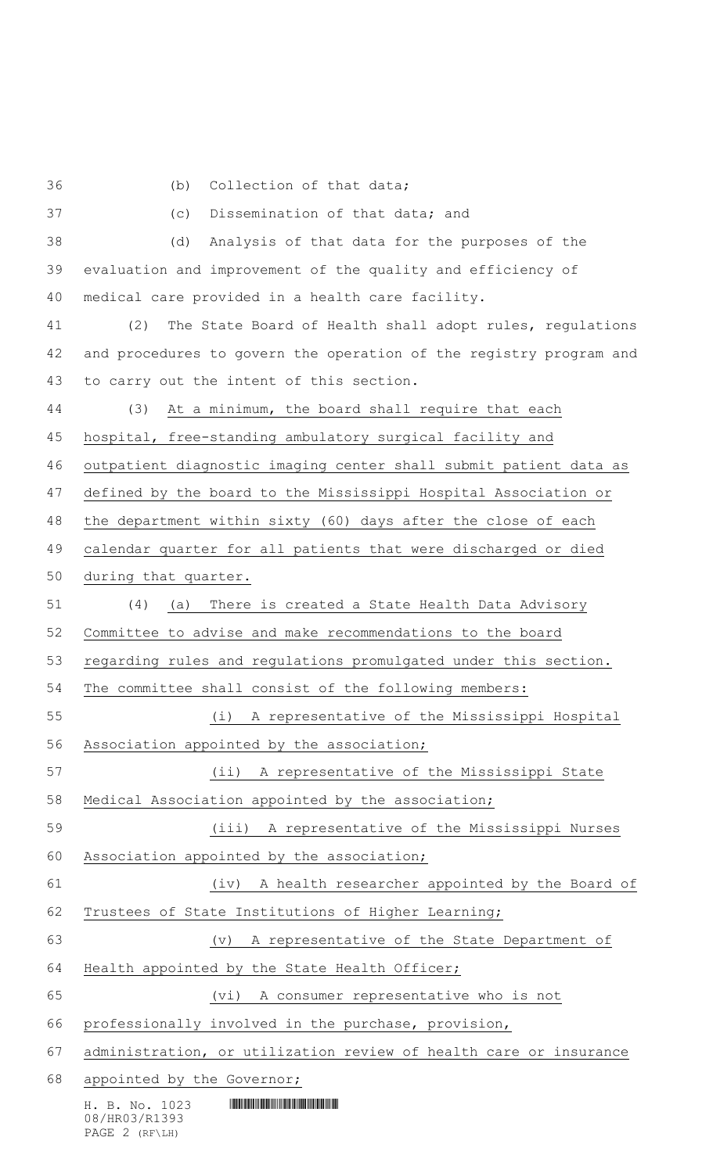(b) Collection of that data;

H. B. No. 1023 **HIMMAN SERVICE SERVICE SERVICE SERVICE SERVICE SERVICE SERVICE SERVICE SERVICE SERVICE SERVICE SERVICE SERVICE SERVICE SERVICE SERVICE SERVICE SERVICE SERVICE SERVICE SERVICE SERVICE SERVICE SERVICE SERVICE**  (c) Dissemination of that data; and (d) Analysis of that data for the purposes of the evaluation and improvement of the quality and efficiency of medical care provided in a health care facility. (2) The State Board of Health shall adopt rules, regulations and procedures to govern the operation of the registry program and to carry out the intent of this section. (3) At a minimum, the board shall require that each hospital, free-standing ambulatory surgical facility and outpatient diagnostic imaging center shall submit patient data as defined by the board to the Mississippi Hospital Association or the department within sixty (60) days after the close of each calendar quarter for all patients that were discharged or died during that quarter. (4) (a) There is created a State Health Data Advisory Committee to advise and make recommendations to the board regarding rules and regulations promulgated under this section. The committee shall consist of the following members: (i) A representative of the Mississippi Hospital Association appointed by the association; (ii) A representative of the Mississippi State Medical Association appointed by the association; (iii) A representative of the Mississippi Nurses 60 Association appointed by the association; (iv) A health researcher appointed by the Board of Trustees of State Institutions of Higher Learning; (v) A representative of the State Department of Health appointed by the State Health Officer; (vi) A consumer representative who is not professionally involved in the purchase, provision, administration, or utilization review of health care or insurance 68 appointed by the Governor;

08/HR03/R1393 PAGE 2 (RF\LH)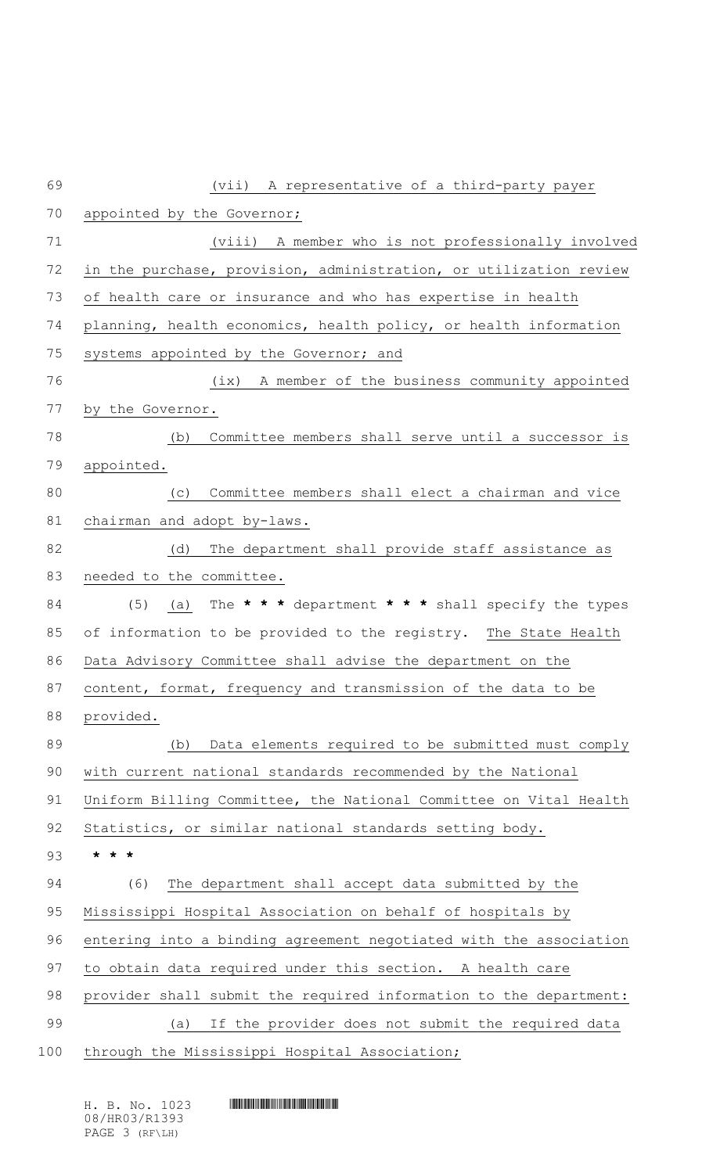| 69  | (vii) A representative of a third-party payer                     |
|-----|-------------------------------------------------------------------|
| 70  | appointed by the Governor;                                        |
| 71  | (viii) A member who is not professionally involved                |
| 72  | in the purchase, provision, administration, or utilization review |
| 73  | of health care or insurance and who has expertise in health       |
| 74  | planning, health economics, health policy, or health information  |
| 75  | systems appointed by the Governor; and                            |
| 76  | A member of the business community appointed<br>(ix)              |
| 77  | by the Governor.                                                  |
| 78  | Committee members shall serve until a successor is<br>(b)         |
| 79  | appointed.                                                        |
| 80  | Committee members shall elect a chairman and vice<br>(c)          |
| 81  | chairman and adopt by-laws.                                       |
| 82  | The department shall provide staff assistance as<br>(d)           |
| 83  | needed to the committee.                                          |
| 84  | (a) The * * * department * * * shall specify the types<br>(5)     |
| 85  | of information to be provided to the registry. The State Health   |
| 86  | Data Advisory Committee shall advise the department on the        |
| 87  | content, format, frequency and transmission of the data to be     |
| 88  | provided.                                                         |
| 89  | Data elements required to be submitted must comply<br>(b)         |
| 90  | with current national standards recommended by the National       |
| 91  | Uniform Billing Committee, the National Committee on Vital Health |
| 92  | Statistics, or similar national standards setting body.           |
| 93  | $\star$ $\star$ $\star$                                           |
| 94  | (6)<br>The department shall accept data submitted by the          |
| 95  | Mississippi Hospital Association on behalf of hospitals by        |
| 96  | entering into a binding agreement negotiated with the association |
| 97  | to obtain data required under this section. A health care         |
| 98  | provider shall submit the required information to the department: |
| 99  | If the provider does not submit the required data<br>(a)          |
| 100 | through the Mississippi Hospital Association;                     |

H. B. No. 1023 A. No. 1023 A. No. 1023 A. No. 1023 A. No. 1023 08/HR03/R1393 PAGE 3 (RF\LH)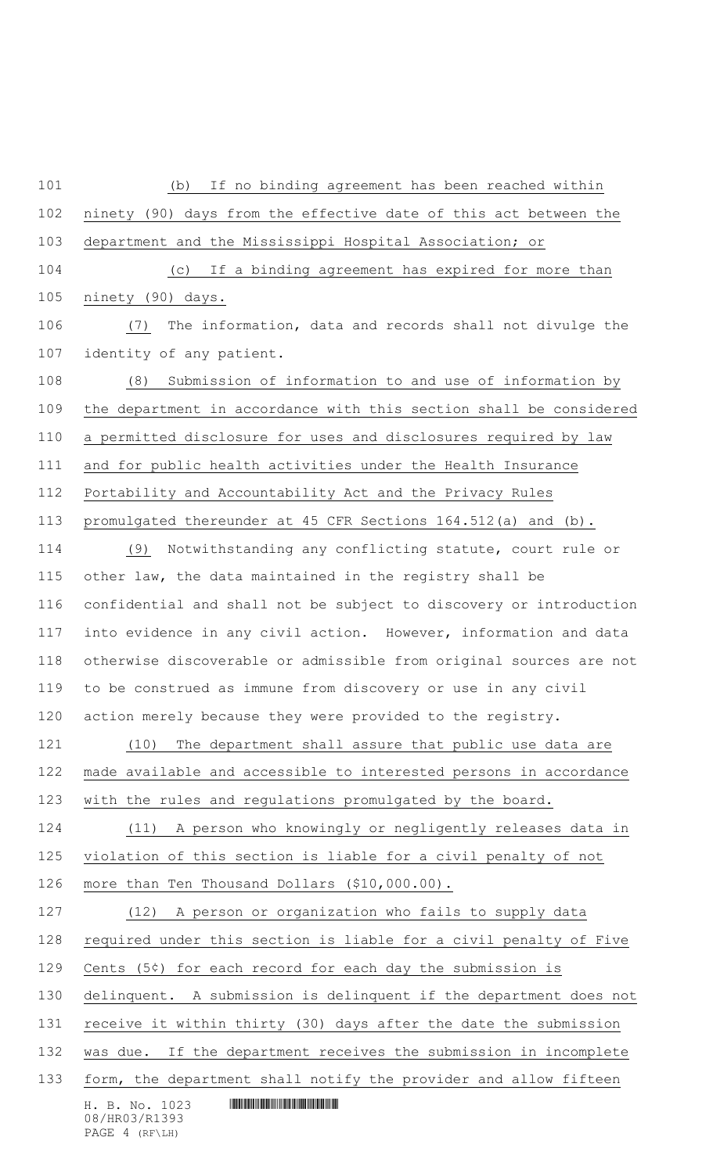H. B. No. 1023 **HALLASHARD** HALLASHARD HALL (b) If no binding agreement has been reached within ninety (90) days from the effective date of this act between the department and the Mississippi Hospital Association; or (c) If a binding agreement has expired for more than ninety (90) days. (7) The information, data and records shall not divulge the identity of any patient. (8) Submission of information to and use of information by the department in accordance with this section shall be considered a permitted disclosure for uses and disclosures required by law and for public health activities under the Health Insurance Portability and Accountability Act and the Privacy Rules promulgated thereunder at 45 CFR Sections 164.512(a) and (b). (9) Notwithstanding any conflicting statute, court rule or other law, the data maintained in the registry shall be confidential and shall not be subject to discovery or introduction into evidence in any civil action. However, information and data otherwise discoverable or admissible from original sources are not to be construed as immune from discovery or use in any civil action merely because they were provided to the registry. (10) The department shall assure that public use data are made available and accessible to interested persons in accordance with the rules and regulations promulgated by the board. (11) A person who knowingly or negligently releases data in violation of this section is liable for a civil penalty of not more than Ten Thousand Dollars (\$10,000.00). (12) A person or organization who fails to supply data required under this section is liable for a civil penalty of Five Cents (5¢) for each record for each day the submission is delinquent. A submission is delinquent if the department does not receive it within thirty (30) days after the date the submission was due. If the department receives the submission in incomplete form, the department shall notify the provider and allow fifteen

08/HR03/R1393 PAGE 4 (RF\LH)